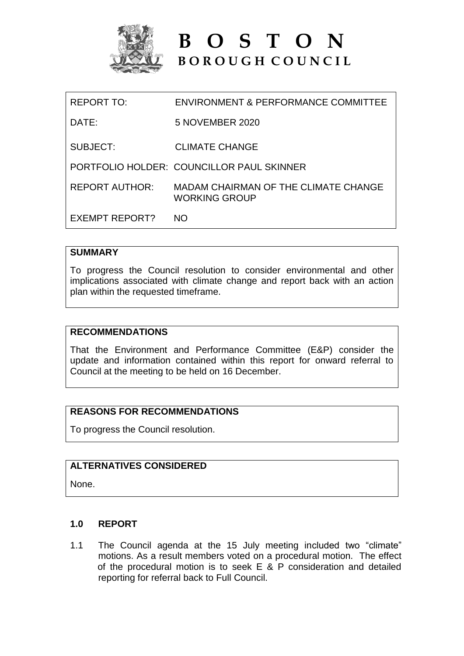

**B O S T O N B O R O U G H C O U N C I L**

| EXEMPT REPORT?    | NΟ                                                           |
|-------------------|--------------------------------------------------------------|
| REPORT AUTHOR:    | MADAM CHAIRMAN OF THE CLIMATE CHANGE<br><b>WORKING GROUP</b> |
|                   | PORTFOLIO HOLDER: COUNCILLOR PAUL SKINNER                    |
| SUBJECT:          | <b>CLIMATE CHANGE</b>                                        |
| DATE:             | 5 NOVEMBER 2020                                              |
| <b>REPORT TO:</b> | ENVIRONMENT & PERFORMANCE COMMITTEE                          |

# **SUMMARY**

To progress the Council resolution to consider environmental and other implications associated with climate change and report back with an action plan within the requested timeframe.

## **RECOMMENDATIONS**

That the Environment and Performance Committee (E&P) consider the update and information contained within this report for onward referral to Council at the meeting to be held on 16 December.

# **REASONS FOR RECOMMENDATIONS**

To progress the Council resolution.

# **ALTERNATIVES CONSIDERED**

None.

## **1.0 REPORT**

1.1 The Council agenda at the 15 July meeting included two "climate" motions. As a result members voted on a procedural motion. The effect of the procedural motion is to seek E & P consideration and detailed reporting for referral back to Full Council.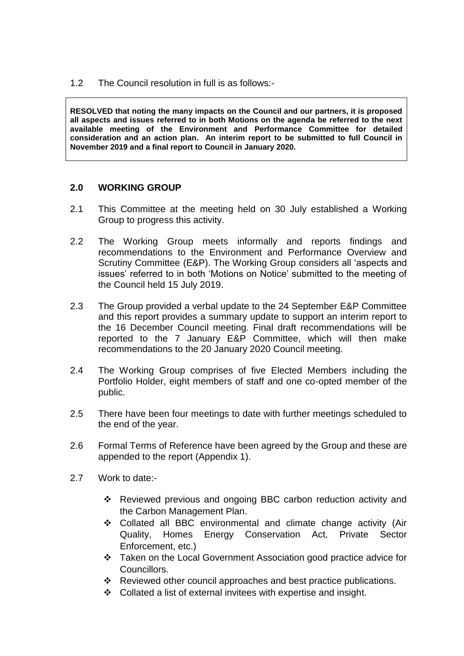1.2 The Council resolution in full is as follows:-

**RESOLVED that noting the many impacts on the Council and our partners, it is proposed all aspects and issues referred to in both Motions on the agenda be referred to the next available meeting of the Environment and Performance Committee for detailed consideration and an action plan. An interim report to be submitted to full Council in November 2019 and a final report to Council in January 2020.** 

## **2.0 WORKING GROUP**

- 2.1 This Committee at the meeting held on 30 July established a Working Group to progress this activity.
- 2.2 The Working Group meets informally and reports findings and recommendations to the Environment and Performance Overview and Scrutiny Committee (E&P). The Working Group considers all 'aspects and issues' referred to in both 'Motions on Notice' submitted to the meeting of the Council held 15 July 2019.
- 2.3 The Group provided a verbal update to the 24 September E&P Committee and this report provides a summary update to support an interim report to the 16 December Council meeting. Final draft recommendations will be reported to the 7 January E&P Committee, which will then make recommendations to the 20 January 2020 Council meeting.
- 2.4 The Working Group comprises of five Elected Members including the Portfolio Holder, eight members of staff and one co-opted member of the public.
- 2.5 There have been four meetings to date with further meetings scheduled to the end of the year.
- 2.6 Formal Terms of Reference have been agreed by the Group and these are appended to the report (Appendix 1).
- 2.7 Work to date:-
	- Reviewed previous and ongoing BBC carbon reduction activity and the Carbon Management Plan.
	- Collated all BBC environmental and climate change activity (Air Quality, Homes Energy Conservation Act, Private Sector Enforcement, etc.)
	- Taken on the Local Government Association good practice advice for Councillors.
	- \* Reviewed other council approaches and best practice publications.
	- Collated a list of external invitees with expertise and insight.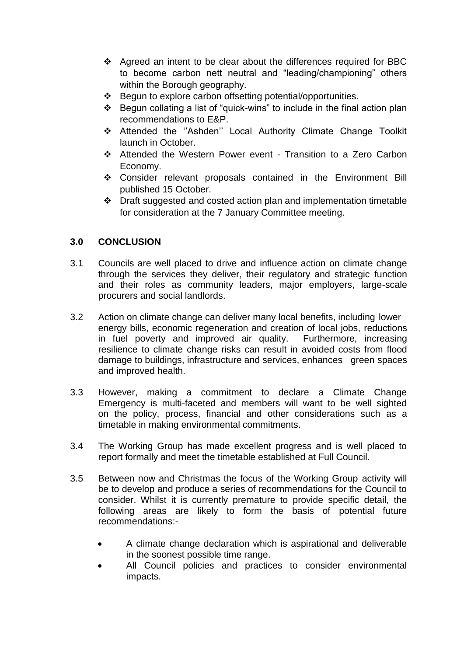- ❖ Agreed an intent to be clear about the differences required for BBC to become carbon nett neutral and "leading/championing" others within the Borough geography.
- Begun to explore carbon offsetting potential/opportunities.
- Begun collating a list of "quick-wins" to include in the final action plan recommendations to E&P.
- Attended the ''Ashden'' Local Authority Climate Change Toolkit launch in October.
- Attended the Western Power event Transition to a Zero Carbon Economy.
- Consider relevant proposals contained in the Environment Bill published 15 October.
- Draft suggested and costed action plan and implementation timetable for consideration at the 7 January Committee meeting.

# **3.0 CONCLUSION**

- 3.1 Councils are well placed to drive and influence action on climate change through the services they deliver, their regulatory and strategic function and their roles as community leaders, major employers, large-scale procurers and social landlords.
- 3.2 Action on climate change can deliver many local benefits, including lower energy bills, economic regeneration and creation of local jobs, reductions in fuel poverty and improved air quality. Furthermore, increasing resilience to climate change risks can result in avoided costs from flood damage to buildings, infrastructure and services, enhances green spaces and improved health.
- 3.3 However, making a commitment to declare a Climate Change Emergency is multi-faceted and members will want to be well sighted on the policy, process, financial and other considerations such as a timetable in making environmental commitments.
- 3.4 The Working Group has made excellent progress and is well placed to report formally and meet the timetable established at Full Council.
- 3.5 Between now and Christmas the focus of the Working Group activity will be to develop and produce a series of recommendations for the Council to consider. Whilst it is currently premature to provide specific detail, the following areas are likely to form the basis of potential future recommendations:-
	- A climate change declaration which is aspirational and deliverable in the soonest possible time range.
	- All Council policies and practices to consider environmental impacts.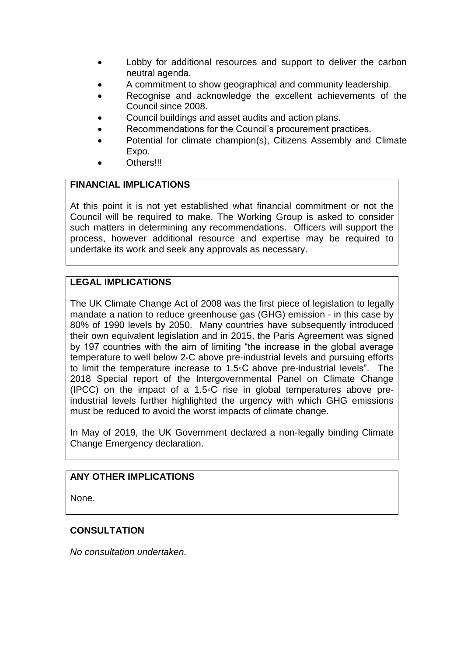- Lobby for additional resources and support to deliver the carbon neutral agenda.
- A commitment to show geographical and community leadership.
- Recognise and acknowledge the excellent achievements of the Council since 2008.
- Council buildings and asset audits and action plans.
- Recommendations for the Council's procurement practices.
- Potential for climate champion(s), Citizens Assembly and Climate Expo.
- Others!!!

# **FINANCIAL IMPLICATIONS**

At this point it is not yet established what financial commitment or not the Council will be required to make. The Working Group is asked to consider such matters in determining any recommendations. Officers will support the process, however additional resource and expertise may be required to undertake its work and seek any approvals as necessary.

# **LEGAL IMPLICATIONS**

The UK Climate Change Act of 2008 was the first piece of legislation to legally mandate a nation to reduce greenhouse gas (GHG) emission - in this case by 80% of 1990 levels by 2050. Many countries have subsequently introduced their own equivalent legislation and in 2015, the Paris Agreement was signed by 197 countries with the aim of limiting "the increase in the global average temperature to well below 2◦C above pre-industrial levels and pursuing efforts to limit the temperature increase to 1.5◦C above pre-industrial levels". The 2018 Special report of the Intergovernmental Panel on Climate Change (IPCC) on the impact of a 1.5◦C rise in global temperatures above preindustrial levels further highlighted the urgency with which GHG emissions must be reduced to avoid the worst impacts of climate change.

In May of 2019, the UK Government declared a non-legally binding Climate Change Emergency declaration.

# **ANY OTHER IMPLICATIONS**

None.

# **CONSULTATION**

*No consultation undertaken.*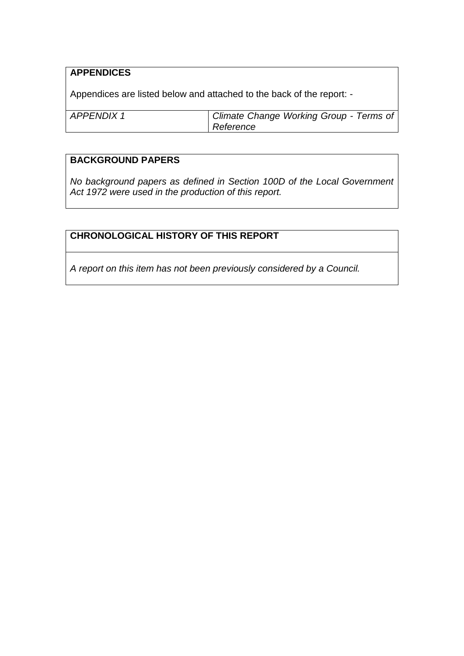# **APPENDICES**

Appendices are listed below and attached to the back of the report: -

| APPENDIX1 | Climate Change Working Group - Terms of |
|-----------|-----------------------------------------|
|           | Reference                               |

# **BACKGROUND PAPERS**

*No background papers as defined in Section 100D of the Local Government Act 1972 were used in the production of this report.*

# **CHRONOLOGICAL HISTORY OF THIS REPORT**

*A report on this item has not been previously considered by a Council.*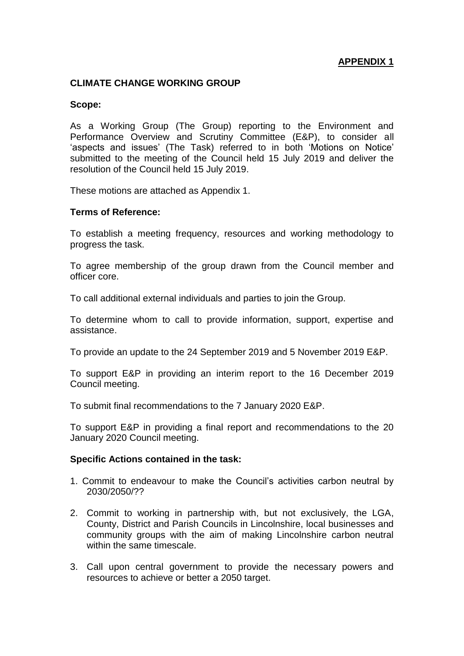# **APPENDIX 1**

## **CLIMATE CHANGE WORKING GROUP**

### **Scope:**

As a Working Group (The Group) reporting to the Environment and Performance Overview and Scrutiny Committee (E&P), to consider all 'aspects and issues' (The Task) referred to in both 'Motions on Notice' submitted to the meeting of the Council held 15 July 2019 and deliver the resolution of the Council held 15 July 2019.

These motions are attached as Appendix 1.

### **Terms of Reference:**

To establish a meeting frequency, resources and working methodology to progress the task.

To agree membership of the group drawn from the Council member and officer core.

To call additional external individuals and parties to join the Group.

To determine whom to call to provide information, support, expertise and assistance.

To provide an update to the 24 September 2019 and 5 November 2019 E&P.

To support E&P in providing an interim report to the 16 December 2019 Council meeting.

To submit final recommendations to the 7 January 2020 E&P.

To support E&P in providing a final report and recommendations to the 20 January 2020 Council meeting.

#### **Specific Actions contained in the task:**

- 1. Commit to endeavour to make the Council's activities carbon neutral by 2030/2050/??
- 2. Commit to working in partnership with, but not exclusively, the LGA, County, District and Parish Councils in Lincolnshire, local businesses and community groups with the aim of making Lincolnshire carbon neutral within the same timescale.
- 3. Call upon central government to provide the necessary powers and resources to achieve or better a 2050 target.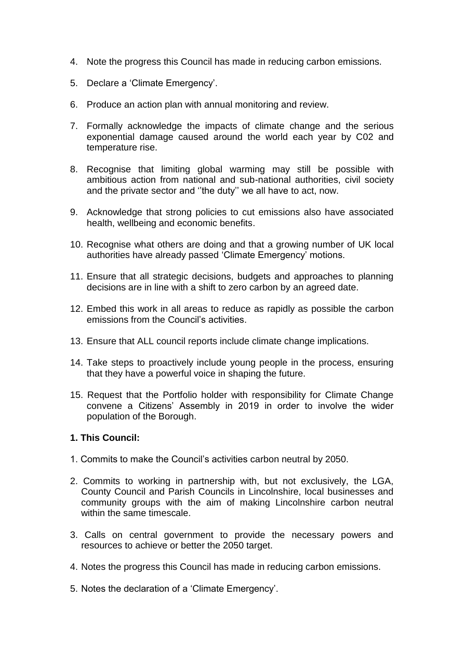- 4. Note the progress this Council has made in reducing carbon emissions.
- 5. Declare a 'Climate Emergency'.
- 6. Produce an action plan with annual monitoring and review.
- 7. Formally acknowledge the impacts of climate change and the serious exponential damage caused around the world each year by C02 and temperature rise.
- 8. Recognise that limiting global warming may still be possible with ambitious action from national and sub-national authorities, civil society and the private sector and ''the duty'' we all have to act, now.
- 9. Acknowledge that strong policies to cut emissions also have associated health, wellbeing and economic benefits.
- 10. Recognise what others are doing and that a growing number of UK local authorities have already passed 'Climate Emergency' motions.
- 11. Ensure that all strategic decisions, budgets and approaches to planning decisions are in line with a shift to zero carbon by an agreed date.
- 12. Embed this work in all areas to reduce as rapidly as possible the carbon emissions from the Council's activities.
- 13. Ensure that ALL council reports include climate change implications.
- 14. Take steps to proactively include young people in the process, ensuring that they have a powerful voice in shaping the future.
- 15. Request that the Portfolio holder with responsibility for Climate Change convene a Citizens' Assembly in 2019 in order to involve the wider population of the Borough.

### **1. This Council:**

- 1. Commits to make the Council's activities carbon neutral by 2050.
- 2. Commits to working in partnership with, but not exclusively, the LGA, County Council and Parish Councils in Lincolnshire, local businesses and community groups with the aim of making Lincolnshire carbon neutral within the same timescale.
- 3. Calls on central government to provide the necessary powers and resources to achieve or better the 2050 target.
- 4. Notes the progress this Council has made in reducing carbon emissions.
- 5. Notes the declaration of a 'Climate Emergency'.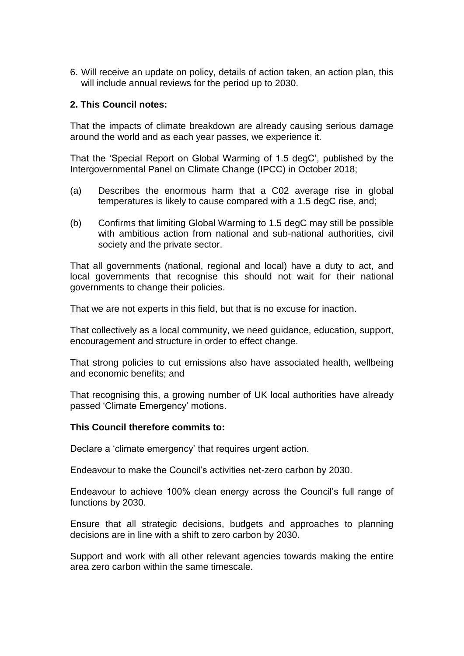6. Will receive an update on policy, details of action taken, an action plan, this will include annual reviews for the period up to 2030.

## **2. This Council notes:**

That the impacts of climate breakdown are already causing serious damage around the world and as each year passes, we experience it.

That the 'Special Report on Global Warming of 1.5 degC', published by the Intergovernmental Panel on Climate Change (IPCC) in October 2018;

- (a) Describes the enormous harm that a C02 average rise in global temperatures is likely to cause compared with a 1.5 degC rise, and;
- (b) Confirms that limiting Global Warming to 1.5 degC may still be possible with ambitious action from national and sub-national authorities, civil society and the private sector.

That all governments (national, regional and local) have a duty to act, and local governments that recognise this should not wait for their national governments to change their policies.

That we are not experts in this field, but that is no excuse for inaction.

That collectively as a local community, we need guidance, education, support, encouragement and structure in order to effect change.

That strong policies to cut emissions also have associated health, wellbeing and economic benefits; and

That recognising this, a growing number of UK local authorities have already passed 'Climate Emergency' motions.

### **This Council therefore commits to:**

Declare a 'climate emergency' that requires urgent action.

Endeavour to make the Council's activities net-zero carbon by 2030.

Endeavour to achieve 100% clean energy across the Council's full range of functions by 2030.

Ensure that all strategic decisions, budgets and approaches to planning decisions are in line with a shift to zero carbon by 2030.

Support and work with all other relevant agencies towards making the entire area zero carbon within the same timescale.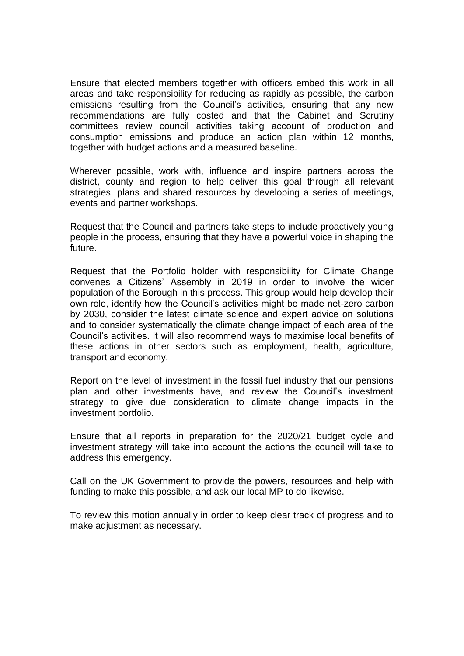Ensure that elected members together with officers embed this work in all areas and take responsibility for reducing as rapidly as possible, the carbon emissions resulting from the Council's activities, ensuring that any new recommendations are fully costed and that the Cabinet and Scrutiny committees review council activities taking account of production and consumption emissions and produce an action plan within 12 months, together with budget actions and a measured baseline.

Wherever possible, work with, influence and inspire partners across the district, county and region to help deliver this goal through all relevant strategies, plans and shared resources by developing a series of meetings, events and partner workshops.

Request that the Council and partners take steps to include proactively young people in the process, ensuring that they have a powerful voice in shaping the future.

Request that the Portfolio holder with responsibility for Climate Change convenes a Citizens' Assembly in 2019 in order to involve the wider population of the Borough in this process. This group would help develop their own role, identify how the Council's activities might be made net-zero carbon by 2030, consider the latest climate science and expert advice on solutions and to consider systematically the climate change impact of each area of the Council's activities. It will also recommend ways to maximise local benefits of these actions in other sectors such as employment, health, agriculture, transport and economy.

Report on the level of investment in the fossil fuel industry that our pensions plan and other investments have, and review the Council's investment strategy to give due consideration to climate change impacts in the investment portfolio.

Ensure that all reports in preparation for the 2020/21 budget cycle and investment strategy will take into account the actions the council will take to address this emergency.

Call on the UK Government to provide the powers, resources and help with funding to make this possible, and ask our local MP to do likewise.

To review this motion annually in order to keep clear track of progress and to make adjustment as necessary.